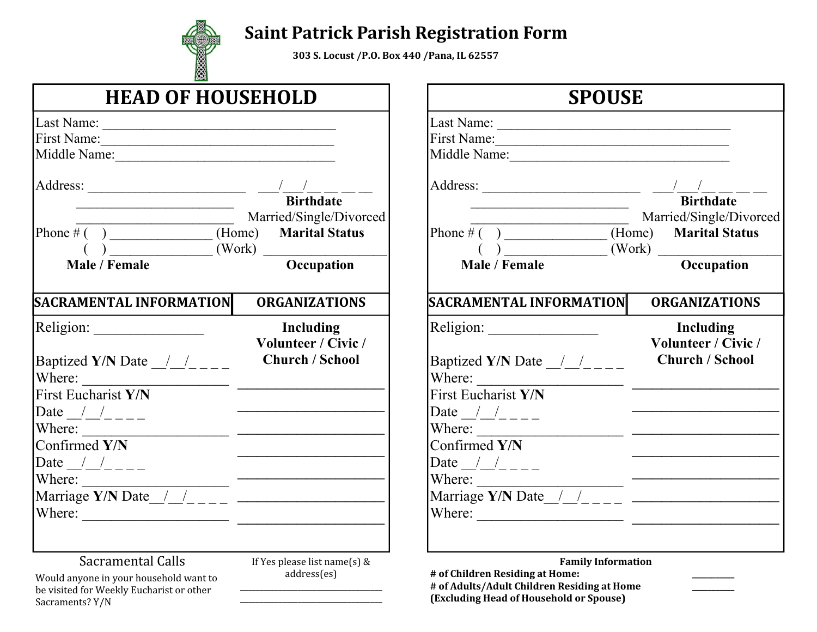

## **Saint Patrick Parish Registration Form**

**233 £ Locust /P.O. Box 440 /Pana, IL 62557** 

| <b>HEAD OF HOUSEHOLD</b>                                                                                                                                                                                                                                                                                                                                                                                                                                                                                                                                                                                                                                                                                                                                                                                                                                                                                                                                                                                                                                                                                                                                                                                                                                                                                                                                                                                                                                                                   |                                                            | <b>SPOUSE</b>                                                                                                                                                                                                                                                                                                                                                                                                                                                                                                                    |                                                            |
|--------------------------------------------------------------------------------------------------------------------------------------------------------------------------------------------------------------------------------------------------------------------------------------------------------------------------------------------------------------------------------------------------------------------------------------------------------------------------------------------------------------------------------------------------------------------------------------------------------------------------------------------------------------------------------------------------------------------------------------------------------------------------------------------------------------------------------------------------------------------------------------------------------------------------------------------------------------------------------------------------------------------------------------------------------------------------------------------------------------------------------------------------------------------------------------------------------------------------------------------------------------------------------------------------------------------------------------------------------------------------------------------------------------------------------------------------------------------------------------------|------------------------------------------------------------|----------------------------------------------------------------------------------------------------------------------------------------------------------------------------------------------------------------------------------------------------------------------------------------------------------------------------------------------------------------------------------------------------------------------------------------------------------------------------------------------------------------------------------|------------------------------------------------------------|
|                                                                                                                                                                                                                                                                                                                                                                                                                                                                                                                                                                                                                                                                                                                                                                                                                                                                                                                                                                                                                                                                                                                                                                                                                                                                                                                                                                                                                                                                                            |                                                            |                                                                                                                                                                                                                                                                                                                                                                                                                                                                                                                                  |                                                            |
|                                                                                                                                                                                                                                                                                                                                                                                                                                                                                                                                                                                                                                                                                                                                                                                                                                                                                                                                                                                                                                                                                                                                                                                                                                                                                                                                                                                                                                                                                            |                                                            |                                                                                                                                                                                                                                                                                                                                                                                                                                                                                                                                  |                                                            |
| First Name:<br>Middle Name: Name and Solid Middle Name and Solid Middle Name and Solid Middle Middle Middle Middle Middle Middle Middle Middle Middle Middle Middle Middle Middle Middle Middle Middle Middle Middle Middle Middle Middle Mid                                                                                                                                                                                                                                                                                                                                                                                                                                                                                                                                                                                                                                                                                                                                                                                                                                                                                                                                                                                                                                                                                                                                                                                                                                              |                                                            | Middle Name: Name and Solid Middle Name and Solid Middle Name and Solid Middle Middle Middle Middle Middle Middle Middle Middle Middle Middle Middle Middle Middle Middle Middle Middle Middle Middle Middle Middle Middle Mid                                                                                                                                                                                                                                                                                                   |                                                            |
|                                                                                                                                                                                                                                                                                                                                                                                                                                                                                                                                                                                                                                                                                                                                                                                                                                                                                                                                                                                                                                                                                                                                                                                                                                                                                                                                                                                                                                                                                            | Married/Single/Divorced                                    | <u> 1989 - Johann Barn, mars ann an t-Amhain an t-Amhain an t-Amhain an t-Amhain an t-Amhain an t-Amhain an t-Amh</u>                                                                                                                                                                                                                                                                                                                                                                                                            | Married/Single/Divorced                                    |
| $\frac{1}{1}$ (b) $\frac{1}{1}$ (Work) $\frac{1}{1}$ Occupation                                                                                                                                                                                                                                                                                                                                                                                                                                                                                                                                                                                                                                                                                                                                                                                                                                                                                                                                                                                                                                                                                                                                                                                                                                                                                                                                                                                                                            |                                                            | Phone $\overline{\#( )}$ (Home)                                                                                                                                                                                                                                                                                                                                                                                                                                                                                                  | <b>Marital Status</b>                                      |
| Male / Female                                                                                                                                                                                                                                                                                                                                                                                                                                                                                                                                                                                                                                                                                                                                                                                                                                                                                                                                                                                                                                                                                                                                                                                                                                                                                                                                                                                                                                                                              |                                                            | $\overrightarrow{N}$ ( $\overrightarrow{N}$ ) $\overrightarrow{N}$ (Work) $\overrightarrow{N}$ (Work)                                                                                                                                                                                                                                                                                                                                                                                                                            |                                                            |
| SACRAMENTAL INFORMATION                                                                                                                                                                                                                                                                                                                                                                                                                                                                                                                                                                                                                                                                                                                                                                                                                                                                                                                                                                                                                                                                                                                                                                                                                                                                                                                                                                                                                                                                    | <b>ORGANIZATIONS</b>                                       | SACRAMENTAL INFORMATION                                                                                                                                                                                                                                                                                                                                                                                                                                                                                                          | <b>ORGANIZATIONS</b>                                       |
| Baptized Y/N Date $\frac{1}{\sqrt{2}}$<br>Where: $\frac{1}{\sqrt{1-\frac{1}{2}} \cdot \frac{1}{2} \cdot \frac{1}{2} \cdot \frac{1}{2} \cdot \frac{1}{2} \cdot \frac{1}{2} \cdot \frac{1}{2} \cdot \frac{1}{2} \cdot \frac{1}{2} \cdot \frac{1}{2} \cdot \frac{1}{2} \cdot \frac{1}{2} \cdot \frac{1}{2} \cdot \frac{1}{2} \cdot \frac{1}{2} \cdot \frac{1}{2} \cdot \frac{1}{2} \cdot \frac{1}{2} \cdot \frac{1}{2} \cdot \frac{1}{2} \cdot \frac{1}{2} \cdot \frac{1}{2} \cdot \frac{1}{2$<br><b>First Eucharist Y/N</b><br>Date $\frac{1}{2}$ $\frac{1}{2}$ $\frac{1}{2}$ $\frac{1}{2}$ $\frac{1}{2}$<br>Where: $\frac{1}{\sqrt{1-\frac{1}{2}} \cdot \frac{1}{2} \cdot \frac{1}{2} \cdot \frac{1}{2} \cdot \frac{1}{2} \cdot \frac{1}{2} \cdot \frac{1}{2} \cdot \frac{1}{2} \cdot \frac{1}{2} \cdot \frac{1}{2} \cdot \frac{1}{2} \cdot \frac{1}{2} \cdot \frac{1}{2} \cdot \frac{1}{2} \cdot \frac{1}{2} \cdot \frac{1}{2} \cdot \frac{1}{2} \cdot \frac{1}{2} \cdot \frac{1}{2} \cdot \frac{1}{2} \cdot \frac{1}{2} \cdot \frac{1}{2} \cdot \frac{1}{2$<br>Confirmed Y/N<br>Date $\frac{1}{2}$ $\frac{1}{2}$ $\frac{1}{2}$ $\frac{1}{2}$ $\frac{1}{2}$<br>Where:<br>Marriage Y/N Date $\frac{1}{2}$ $\frac{1}{2}$ $\frac{1}{2}$ $\frac{1}{2}$ $\frac{1}{2}$ $\frac{1}{2}$ $\frac{1}{2}$ $\frac{1}{2}$ $\frac{1}{2}$ $\frac{1}{2}$ $\frac{1}{2}$ $\frac{1}{2}$ $\frac{1}{2}$ $\frac{1}{2}$ $\frac{1}{2}$ $\frac{1}{2}$ $\frac{1}{2}$ $\frac{1}{2}$ $\frac{1}{2}$ $\frac{1}{2}$ $\frac$ | Including<br>Volunteer / Civic /<br><b>Church / School</b> | Baptized Y/N Date $\frac{1}{2}$ $\frac{1}{2}$ $\frac{1}{2}$ $\frac{1}{2}$<br>Where: $\qquad \qquad$<br>First Eucharist Y/N<br>Date $\angle$ $\angle$<br>Where: $\qquad \qquad$<br>Confirmed $Y/N$<br>Where:<br>Marriage Y/N Date $\frac{1}{2}$ $\frac{1}{2}$ $\frac{1}{2}$ $\frac{1}{2}$ $\frac{1}{2}$ $\frac{1}{2}$ $\frac{1}{2}$ $\frac{1}{2}$ $\frac{1}{2}$ $\frac{1}{2}$ $\frac{1}{2}$ $\frac{1}{2}$ $\frac{1}{2}$ $\frac{1}{2}$ $\frac{1}{2}$ $\frac{1}{2}$ $\frac{1}{2}$ $\frac{1}{2}$ $\frac{1}{2}$ $\frac{1}{2}$ $\frac$ | Including<br>Volunteer / Civic /<br><b>Church / School</b> |
| Sacramental Calls<br>Would anyone in your household want to<br>be visited for Weekly Eucharist or other<br>Sacraments? Y/N                                                                                                                                                                                                                                                                                                                                                                                                                                                                                                                                                                                                                                                                                                                                                                                                                                                                                                                                                                                                                                                                                                                                                                                                                                                                                                                                                                 | If Yes please list name(s) $&$<br>address(es)              | <b>Family Information</b><br># of Children Residing at Home:<br># of Adults/Adult Children Residing at Home<br>(Excluding Head of Household or Spouse)                                                                                                                                                                                                                                                                                                                                                                           |                                                            |